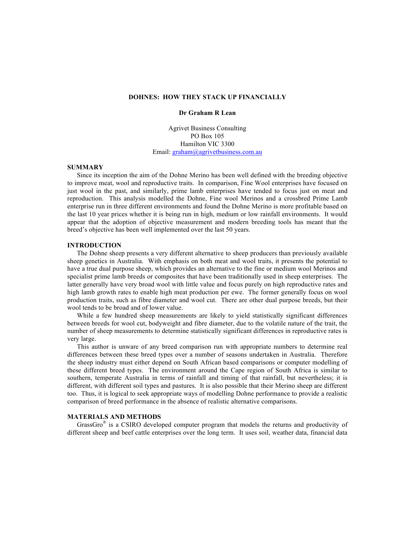# **DOHNES: HOW THEY STACK UP FINANCIALLY**

#### **Dr Graham R Lean**

Agrivet Business Consulting PO Box 105 Hamilton VIC 3300 Email: graham@agrivetbusiness.com.au

#### **SUMMARY**

Since its inception the aim of the Dohne Merino has been well defined with the breeding objective to improve meat, wool and reproductive traits. In comparison, Fine Wool enterprises have focused on just wool in the past, and similarly, prime lamb enterprises have tended to focus just on meat and reproduction. This analysis modelled the Dohne, Fine wool Merinos and a crossbred Prime Lamb enterprise run in three different environments and found the Dohne Merino is more profitable based on the last 10 year prices whether it is being run in high, medium or low rainfall environments. It would appear that the adoption of objective measurement and modern breeding tools has meant that the breed's objective has been well implemented over the last 50 years.

## **INTRODUCTION**

The Dohne sheep presents a very different alternative to sheep producers than previously available sheep genetics in Australia. With emphasis on both meat and wool traits, it presents the potential to have a true dual purpose sheep, which provides an alternative to the fine or medium wool Merinos and specialist prime lamb breeds or composites that have been traditionally used in sheep enterprises. The latter generally have very broad wool with little value and focus purely on high reproductive rates and high lamb growth rates to enable high meat production per ewe. The former generally focus on wool production traits, such as fibre diameter and wool cut. There are other dual purpose breeds, but their wool tends to be broad and of lower value.

While a few hundred sheep measurements are likely to yield statistically significant differences between breeds for wool cut, bodyweight and fibre diameter, due to the volatile nature of the trait, the number of sheep measurements to determine statistically significant differences in reproductive rates is very large.

This author is unware of any breed comparison run with appropriate numbers to determine real differences between these breed types over a number of seasons undertaken in Australia. Therefore the sheep industry must either depend on South African based comparisons or computer modelling of these different breed types. The environment around the Cape region of South Africa is similar to southern, temperate Australia in terms of rainfall and timing of that rainfall, but nevertheless; it is different, with different soil types and pastures. It is also possible that their Merino sheep are different too. Thus, it is logical to seek appropriate ways of modelling Dohne performance to provide a realistic comparison of breed performance in the absence of realistic alternative comparisons.

#### **MATERIALS AND METHODS**

GrassGro $\textdegree$  is a CSIRO developed computer program that models the returns and productivity of different sheep and beef cattle enterprises over the long term. It uses soil, weather data, financial data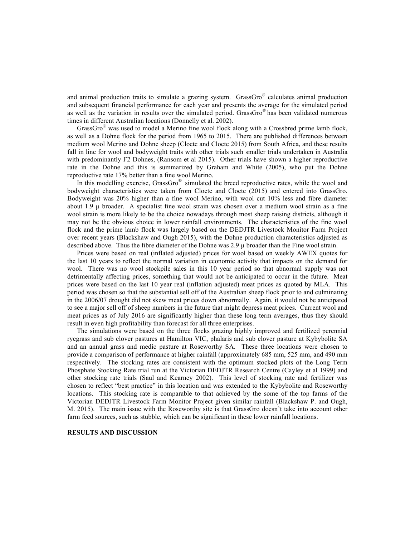and animal production traits to simulate a grazing system. GrassGro® calculates animal production and subsequent financial performance for each year and presents the average for the simulated period as well as the variation in results over the simulated period. GrassGro® has been validated numerous times in different Australian locations (Donnelly et al. 2002).

GrassGro $^{\circledR}$  was used to model a Merino fine wool flock along with a Crossbred prime lamb flock, as well as a Dohne flock for the period from 1965 to 2015. There are published differences between medium wool Merino and Dohne sheep (Cloete and Cloete 2015) from South Africa, and these results fall in line for wool and bodyweight traits with other trials such smaller trials undertaken in Australia with predominantly F2 Dohnes, (Ransom et al 2015). Other trials have shown a higher reproductive rate in the Dohne and this is summarized by Graham and White (2005), who put the Dohne reproductive rate 17% better than a fine wool Merino.

In this modelling exercise, GrassGro $^{\circledR}$  simulated the breed reproductive rates, while the wool and bodyweight characteristics were taken from Cloete and Cloete (2015) and entered into GrassGro. Bodyweight was 20% higher than a fine wool Merino, with wool cut 10% less and fibre diameter about  $1.9 \mu$  broader. A specialist fine wool strain was chosen over a medium wool strain as a fine wool strain is more likely to be the choice nowadays through most sheep raising districts, although it may not be the obvious choice in lower rainfall environments. The characteristics of the fine wool flock and the prime lamb flock was largely based on the DEDJTR Livestock Monitor Farm Project over recent years (Blackshaw and Ough 2015), with the Dohne production characteristics adjusted as described above. Thus the fibre diameter of the Dohne was  $2.9 \mu$  broader than the Fine wool strain.

Prices were based on real (inflated adjusted) prices for wool based on weekly AWEX quotes for the last 10 years to reflect the normal variation in economic activity that impacts on the demand for wool. There was no wool stockpile sales in this 10 year period so that abnormal supply was not detrimentally affecting prices, something that would not be anticipated to occur in the future. Meat prices were based on the last 10 year real (inflation adjusted) meat prices as quoted by MLA. This period was chosen so that the substantial sell off of the Australian sheep flock prior to and culminating in the 2006/07 drought did not skew meat prices down abnormally. Again, it would not be anticipated to see a major sell off of sheep numbers in the future that might depress meat prices. Current wool and meat prices as of July 2016 are significantly higher than these long term averages, thus they should result in even high profitability than forecast for all three enterprises.

The simulations were based on the three flocks grazing highly improved and fertilized perennial ryegrass and sub clover pastures at Hamilton VIC, phalaris and sub clover pasture at Kybybolite SA and an annual grass and medic pasture at Roseworthy SA. These three locations were chosen to provide a comparison of performance at higher rainfall (approximately 685 mm, 525 mm, and 490 mm respectively. The stocking rates are consistent with the optimum stocked plots of the Long Term Phosphate Stocking Rate trial run at the Victorian DEDJTR Research Centre (Cayley et al 1999) and other stocking rate trials (Saul and Kearney 2002). This level of stocking rate and fertilizer was chosen to reflect "best practice" in this location and was extended to the Kybybolite and Roseworthy locations. This stocking rate is comparable to that achieved by the some of the top farms of the Victorian DEDJTR Livestock Farm Monitor Project given similar rainfall (Blackshaw P. and Ough, M. 2015). The main issue with the Roseworthy site is that GrassGro doesn't take into account other farm feed sources, such as stubble, which can be significant in these lower rainfall locations.

### **RESULTS AND DISCUSSION**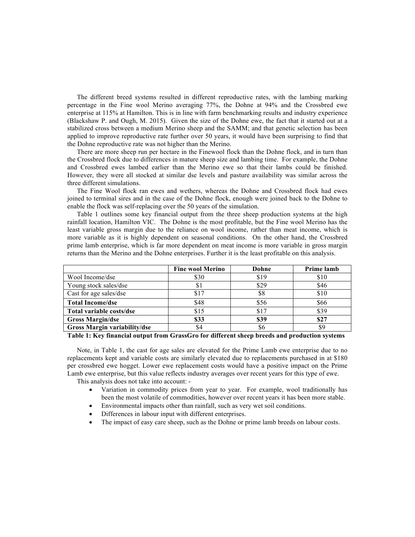The different breed systems resulted in different reproductive rates, with the lambing marking percentage in the Fine wool Merino averaging 77%, the Dohne at 94% and the Crossbred ewe enterprise at 115% at Hamilton. This is in line with farm benchmarking results and industry experience (Blackshaw P. and Ough, M. 2015). Given the size of the Dohne ewe, the fact that it started out at a stabilized cross between a medium Merino sheep and the SAMM; and that genetic selection has been applied to improve reproductive rate further over 50 years, it would have been surprising to find that the Dohne reproductive rate was not higher than the Merino.

There are more sheep run per hectare in the Finewool flock than the Dohne flock, and in turn than the Crossbred flock due to differences in mature sheep size and lambing time. For example, the Dohne and Crossbred ewes lambed earlier than the Merino ewe so that their lambs could be finished. However, they were all stocked at similar dse levels and pasture availability was similar across the three different simulations.

The Fine Wool flock ran ewes and wethers, whereas the Dohne and Crossbred flock had ewes joined to terminal sires and in the case of the Dohne flock, enough were joined back to the Dohne to enable the flock was self-replacing over the 50 years of the simulation.

Table 1 outlines some key financial output from the three sheep production systems at the high rainfall location, Hamilton VIC. The Dohne is the most profitable, but the Fine wool Merino has the least variable gross margin due to the reliance on wool income, rather than meat income, which is more variable as it is highly dependent on seasonal conditions. On the other hand, the Crossbred prime lamb enterprise, which is far more dependent on meat income is more variable in gross margin returns than the Merino and the Dohne enterprises. Further it is the least profitable on this analysis.

|                              | <b>Fine wool Merino</b> | Dohne | Prime lamb |
|------------------------------|-------------------------|-------|------------|
| Wool Income/dse              | \$30                    | \$19  | \$10       |
| Young stock sales/dse        | S)                      | \$29  | \$46       |
| Cast for age sales/dse       | \$17                    | \$8   | \$10       |
| <b>Total Income/dse</b>      | \$48                    | \$56  | \$66       |
| Total variable costs/dse     | \$15                    | \$17  | \$39       |
| <b>Gross Margin/dse</b>      | \$33                    | \$39  | \$27       |
| Gross Margin variability/dse |                         | ЪO    |            |

**Table 1: Key financial output from GrassGro for different sheep breeds and production systems**

Note, in Table 1, the cast for age sales are elevated for the Prime Lamb ewe enterprise due to no replacements kept and variable costs are similarly elevated due to replacements purchased in at \$180 per crossbred ewe hogget. Lower ewe replacement costs would have a positive impact on the Prime Lamb ewe enterprise, but this value reflects industry averages over recent years for this type of ewe. This analysis does not take into account: -

- Variation in commodity prices from year to year. For example, wool traditionally has
- been the most volatile of commodities, however over recent years it has been more stable.
- Environmental impacts other than rainfall, such as very wet soil conditions.
- Differences in labour input with different enterprises.
- The impact of easy care sheep, such as the Dohne or prime lamb breeds on labour costs.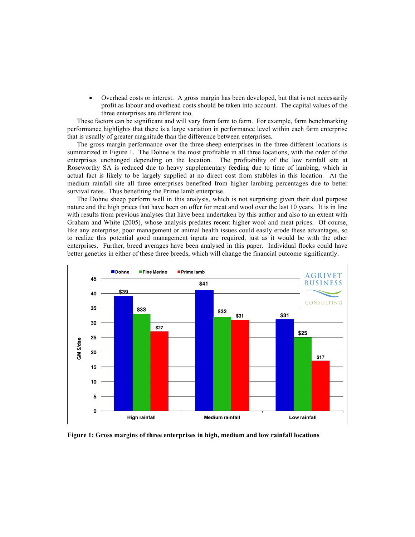• Overhead costs or interest. A gross margin has been developed, but that is not necessarily profit as labour and overhead costs should be taken into account. The capital values of the three enterprises are different too.

These factors can be significant and will vary from farm to farm. For example, farm benchmarking performance highlights that there is a large variation in performance level within each farm enterprise that is usually of greater magnitude than the difference between enterprises.

The gross margin performance over the three sheep enterprises in the three different locations is summarized in Figure 1. The Dohne is the most profitable in all three locations, with the order of the enterprises unchanged depending on the location. The profitability of the low rainfall site at Roseworthy SA is reduced due to heavy supplementary feeding due to time of lambing, which in actual fact is likely to be largely supplied at no direct cost from stubbles in this location. At the medium rainfall site all three enterprises benefited from higher lambing percentages due to better survival rates. Thus benefiting the Prime lamb enterprise.

The Dohne sheep perform well in this analysis, which is not surprising given their dual purpose nature and the high prices that have been on offer for meat and wool over the last 10 years. It is in line with results from previous analyses that have been undertaken by this author and also to an extent with Graham and White (2005), whose analysis predates recent higher wool and meat prices. Of course, like any enterprise, poor management or animal health issues could easily erode these advantages, so to realize this potential good management inputs are required, just as it would be with the other enterprises. Further, breed averages have been analysed in this paper. Individual flocks could have better genetics in either of these three breeds, which will change the financial outcome significantly.



**Figure 1: Gross margins of three enterprises in high, medium and low rainfall locations**